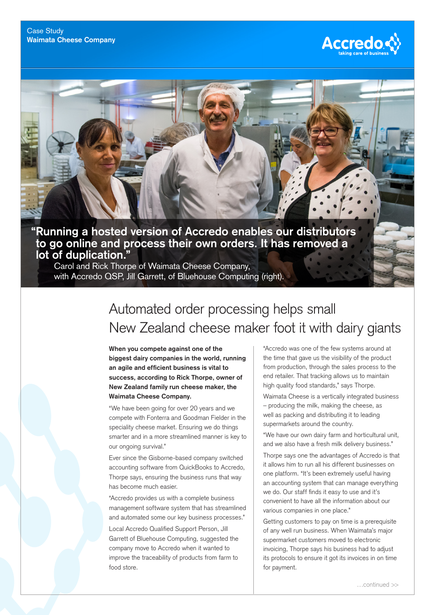

## **"Running a hosted version of Accredo enables our distributors to go online and process their own orders. It has removed a lot of duplication."**

Carol and Rick Thorpe of Waimata Cheese Company, with Accredo QSP, Jill Garrett, of Bluehouse Computing (right).

## Automated order processing helps small New Zealand cheese maker foot it with dairy giants

**When you compete against one of the biggest dairy companies in the world, running an agile and efficient business is vital to success, according to Rick Thorpe, owner of New Zealand family run cheese maker, the Waimata Cheese Company.**

"We have been going for over 20 years and we compete with Fonterra and Goodman Fielder in the speciality cheese market. Ensuring we do things smarter and in a more streamlined manner is key to our ongoing survival."

Ever since the Gisborne-based company switched accounting software from QuickBooks to Accredo, Thorpe says, ensuring the business runs that way has become much easier.

"Accredo provides us with a complete business management software system that has streamlined and automated some our key business processes."

Local Accredo Qualified Support Person, Jill Garrett of Bluehouse Computing, suggested the company move to Accredo when it wanted to improve the traceability of products from farm to food store.

"Accredo was one of the few systems around at the time that gave us the visibility of the product from production, through the sales process to the end retailer. That tracking allows us to maintain high quality food standards," says Thorpe.

Waimata Cheese is a vertically integrated business – producing the milk, making the cheese, as well as packing and distributing it to leading supermarkets around the country.

"We have our own dairy farm and horticultural unit, and we also have a fresh milk delivery business."

Thorpe says one the advantages of Accredo is that it allows him to run all his different businesses on one platform. "It's been extremely useful having an accounting system that can manage everything we do. Our staff finds it easy to use and it's convenient to have all the information about our various companies in one place."

Getting customers to pay on time is a prerequisite of any well run business. When Waimata's major supermarket customers moved to electronic invoicing, Thorpe says his business had to adjust its protocols to ensure it got its invoices in on time for payment.